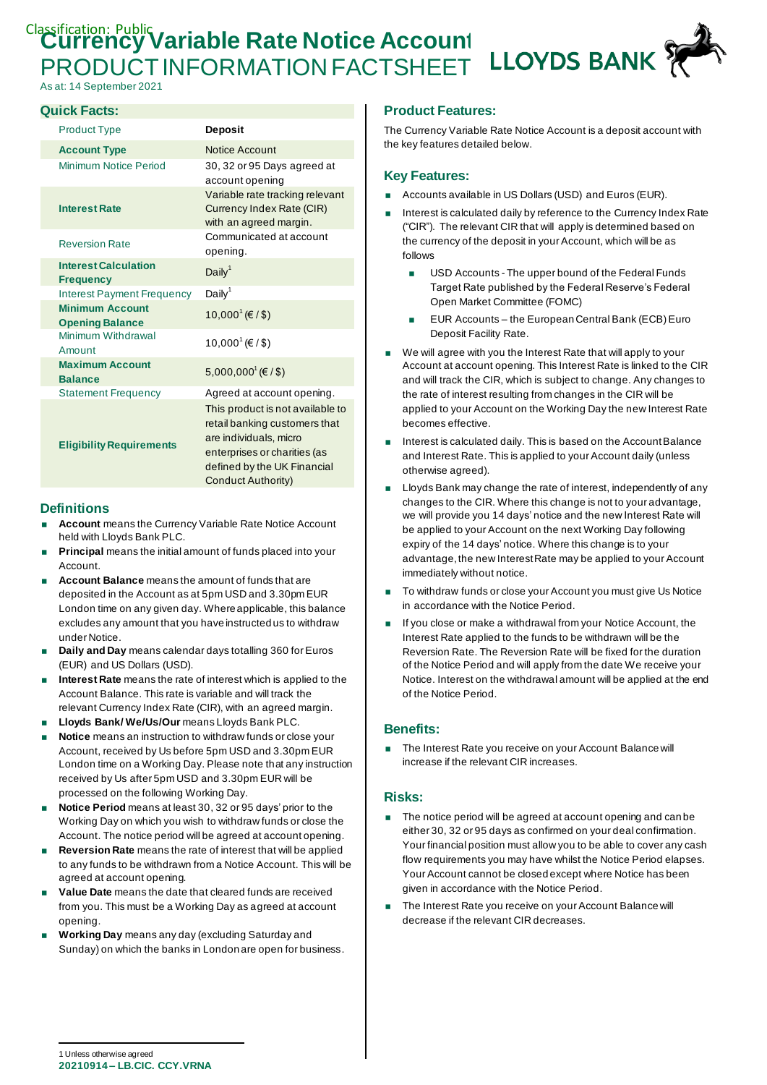# Classification: Public Variable Rate Notice Account **LLOYDS BANK** PRODUCT INFORMATION FACTSHEET

As at: 14 September 2021

# **Quick Facts:**

| <b>Product Type</b>                              | <b>Deposit</b>                                                                                                                                                                   |
|--------------------------------------------------|----------------------------------------------------------------------------------------------------------------------------------------------------------------------------------|
| <b>Account Type</b>                              | Notice Account                                                                                                                                                                   |
| Minimum Notice Period                            | 30, 32 or 95 Days agreed at<br>account opening                                                                                                                                   |
| <b>Interest Rate</b>                             | Variable rate tracking relevant<br>Currency Index Rate (CIR)<br>with an agreed margin.                                                                                           |
| <b>Reversion Rate</b>                            | Communicated at account<br>opening.                                                                                                                                              |
| <b>Interest Calculation</b><br><b>Frequency</b>  | Daily <sup>1</sup>                                                                                                                                                               |
| <b>Interest Payment Frequency</b>                | Daily <sup>1</sup>                                                                                                                                                               |
| <b>Minimum Account</b><br><b>Opening Balance</b> | $10,000$ <sup><math>(€</math></sup> / \$)                                                                                                                                        |
| Minimum Withdrawal<br>Amount                     | 10,000 <sup>1</sup> (€/\$)                                                                                                                                                       |
| <b>Maximum Account</b><br><b>Balance</b>         | 5,000,000 <sup>1</sup> (€ / \$)                                                                                                                                                  |
| <b>Statement Frequency</b>                       | Agreed at account opening.                                                                                                                                                       |
| <b>Eligibility Requirements</b>                  | This product is not available to<br>retail banking customers that<br>are individuals, micro<br>enterprises or charities (as<br>defined by the UK Financial<br>Conduct Authority) |

### **Definitions**

- **Account** means the Currency Variable Rate Notice Account held with Lloyds Bank PLC.
- **Principal** means the initial amount of funds placed into your Account.
- **Account Balance** means the amount of funds that are deposited in the Account as at 5pm USD and 3.30pm EUR London time on any given day. Where applicable, this balance excludes any amount that you have instructed us to withdraw under Notice.
- **Daily and Day** means calendar days totalling 360 for Euros (EUR) and US Dollars (USD).
- **Interest Rate** means the rate of interest which is applied to the Account Balance. This rate is variable and will track the relevant Currency Index Rate (CIR), with an agreed margin.
- **Lloyds Bank/ We/Us/Our** means Lloyds Bank PLC.
- **Notice** means an instruction to withdraw funds or close your Account, received by Us before 5pm USD and 3.30pm EUR London time on a Working Day. Please note that any instruction received by Us after 5pm USD and 3.30pm EUR will be processed on the following Working Day.
- **Notice Period** means at least 30, 32 or 95 days' prior to the Working Day on which you wish to withdraw funds or close the Account. The notice period will be agreed at account opening.
- **Reversion Rate** means the rate of interest that will be applied to any funds to be withdrawn from a Notice Account. This will be agreed at account opening.
- **Value Date** means the date that cleared funds are received from you. This must be a Working Day as agreed at account opening.
- **Working Day** means any day (excluding Saturday and Sunday) on which the banks in London are open for business.

# **Product Features:**

The Currency Variable Rate Notice Account is a deposit account with the key features detailed below.

# **Key Features:**

- Accounts available in US Dollars (USD) and Euros (EUR).
- Interest is calculated daily by reference to the Currency Index Rate ("CIR"). The relevant CIR that will apply is determined based on the currency of the deposit in your Account, which will be as follows
	- **USD Accounts The upper bound of the Federal Funds** Target Rate published by the Federal Reserve's Federal Open Market Committee (FOMC)
	- **EUR Accounts the European Central Bank (ECB) Euro** Deposit Facility Rate.
- We will agree with you the Interest Rate that will apply to your Account at account opening. This Interest Rate is linked to the CIR and will track the CIR, which is subject to change. Any changes to the rate of interest resulting from changes in the CIR will be applied to your Account on the Working Day the new Interest Rate becomes effective.
- $\blacksquare$  Interest is calculated daily. This is based on the Account Balance and Interest Rate. This is applied to your Account daily (unless otherwise agreed).
- Lloyds Bank may change the rate of interest, independently of any changes to the CIR. Where this change is not to your advantage, we will provide you 14 days' notice and the new Interest Rate will be applied to your Account on the next Working Day following expiry of the 14 days' notice. Where this change is to your advantage, the new Interest Rate may be applied to your Account immediately without notice.
- To withdraw funds or close your Account you must give Us Notice in accordance with the Notice Period.
- If you close or make a withdrawal from your Notice Account, the Interest Rate applied to the funds to be withdrawn will be the Reversion Rate. The Reversion Rate will be fixed for the duration of the Notice Period and will apply from the date We receive your Notice. Interest on the withdrawal amount will be applied at the end of the Notice Period.

# **Benefits:**

 The Interest Rate you receive on your Account Balance will increase if the relevant CIR increases.

#### **Risks:**

- The notice period will be agreed at account opening and can be either 30, 32 or 95 days as confirmed on your deal confirmation. Your financial position must allow you to be able to cover any cash flow requirements you may have whilst the Notice Period elapses. Your Account cannot be closed except where Notice has been given in accordance with the Notice Period.
- The Interest Rate you receive on your Account Balance will decrease if the relevant CIR decreases.